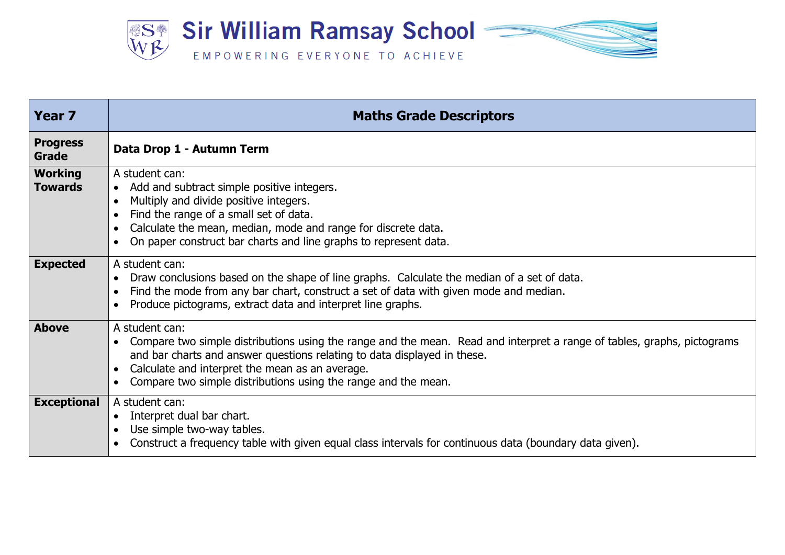

| <b>Year 7</b>                    | <b>Maths Grade Descriptors</b>                                                                                                                                                                                                                                                                                                             |
|----------------------------------|--------------------------------------------------------------------------------------------------------------------------------------------------------------------------------------------------------------------------------------------------------------------------------------------------------------------------------------------|
| <b>Progress</b><br>Grade         | Data Drop 1 - Autumn Term                                                                                                                                                                                                                                                                                                                  |
| <b>Working</b><br><b>Towards</b> | A student can:<br>Add and subtract simple positive integers.<br>$\bullet$<br>Multiply and divide positive integers.<br>Find the range of a small set of data.<br>Calculate the mean, median, mode and range for discrete data.<br>On paper construct bar charts and line graphs to represent data.                                         |
| <b>Expected</b>                  | A student can:<br>Draw conclusions based on the shape of line graphs. Calculate the median of a set of data.<br>Find the mode from any bar chart, construct a set of data with given mode and median.<br>Produce pictograms, extract data and interpret line graphs.                                                                       |
| <b>Above</b>                     | A student can:<br>Compare two simple distributions using the range and the mean. Read and interpret a range of tables, graphs, pictograms<br>and bar charts and answer questions relating to data displayed in these.<br>Calculate and interpret the mean as an average.<br>Compare two simple distributions using the range and the mean. |
| <b>Exceptional</b>               | A student can:<br>Interpret dual bar chart.<br>Use simple two-way tables.<br>Construct a frequency table with given equal class intervals for continuous data (boundary data given).                                                                                                                                                       |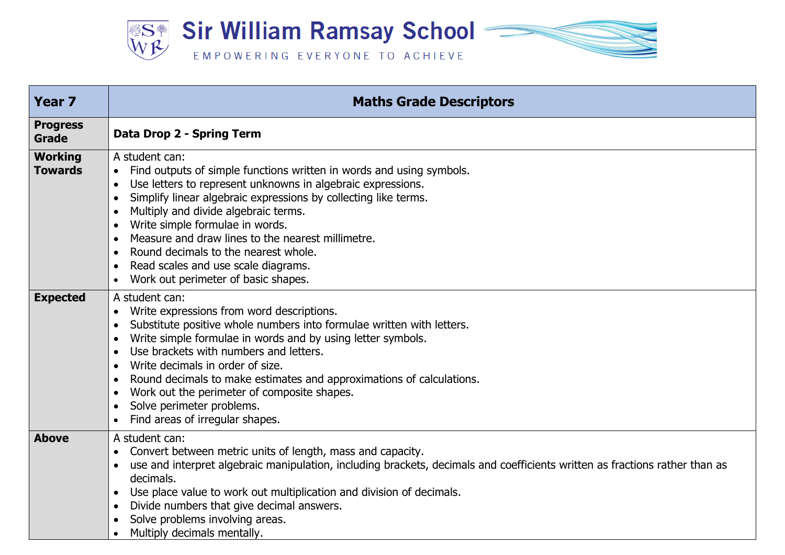

| <b>Year 7</b>                    | <b>Maths Grade Descriptors</b>                                                                                                                                                                                                                                                                                                                                                                                                                                                                                                                                      |
|----------------------------------|---------------------------------------------------------------------------------------------------------------------------------------------------------------------------------------------------------------------------------------------------------------------------------------------------------------------------------------------------------------------------------------------------------------------------------------------------------------------------------------------------------------------------------------------------------------------|
| <b>Progress</b><br>Grade         | Data Drop 2 - Spring Term                                                                                                                                                                                                                                                                                                                                                                                                                                                                                                                                           |
| <b>Working</b><br><b>Towards</b> | A student can:<br>Find outputs of simple functions written in words and using symbols.<br>$\bullet$<br>Use letters to represent unknowns in algebraic expressions.<br>$\bullet$<br>Simplify linear algebraic expressions by collecting like terms.<br>Multiply and divide algebraic terms.<br>Write simple formulae in words.<br>Measure and draw lines to the nearest millimetre.<br>Round decimals to the nearest whole.<br>Read scales and use scale diagrams.<br>$\bullet$<br>Work out perimeter of basic shapes.                                               |
| <b>Expected</b>                  | A student can:<br>Write expressions from word descriptions.<br>Substitute positive whole numbers into formulae written with letters.<br>Write simple formulae in words and by using letter symbols.<br>$\bullet$<br>Use brackets with numbers and letters.<br>$\bullet$<br>Write decimals in order of size.<br>$\bullet$<br>Round decimals to make estimates and approximations of calculations.<br>$\bullet$<br>Work out the perimeter of composite shapes.<br>$\bullet$<br>Solve perimeter problems.<br>$\bullet$<br>Find areas of irregular shapes.<br>$\bullet$ |
| <b>Above</b>                     | A student can:<br>Convert between metric units of length, mass and capacity.<br>$\bullet$<br>use and interpret algebraic manipulation, including brackets, decimals and coefficients written as fractions rather than as<br>$\bullet$<br>decimals.<br>Use place value to work out multiplication and division of decimals.<br>$\bullet$<br>Divide numbers that give decimal answers.<br>Solve problems involving areas.<br>Multiply decimals mentally.                                                                                                              |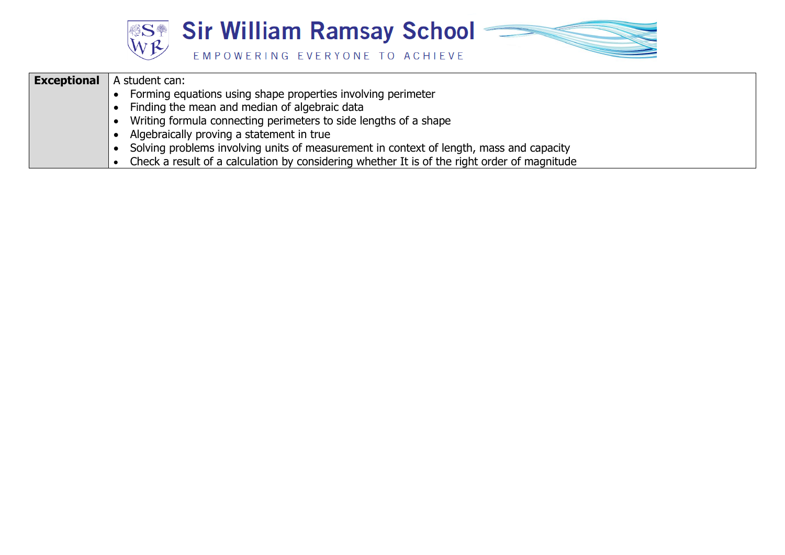

| <b>Exceptional</b> | A student can:                                                                               |
|--------------------|----------------------------------------------------------------------------------------------|
|                    | Forming equations using shape properties involving perimeter                                 |
|                    | Finding the mean and median of algebraic data                                                |
|                    | Writing formula connecting perimeters to side lengths of a shape                             |
|                    | Algebraically proving a statement in true                                                    |
|                    | Solving problems involving units of measurement in context of length, mass and capacity      |
|                    | Check a result of a calculation by considering whether It is of the right order of magnitude |